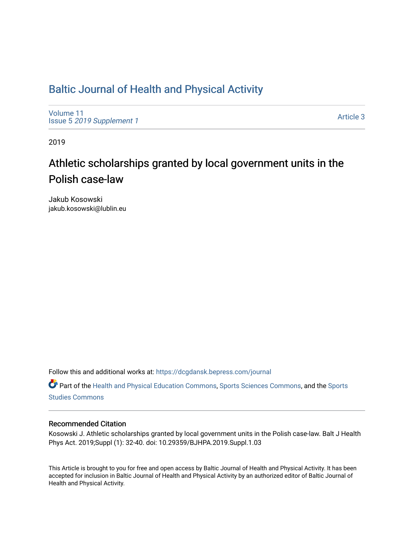# [Baltic Journal of Health and Physical Activity](https://dcgdansk.bepress.com/journal)

[Volume 11](https://dcgdansk.bepress.com/journal/vol11) Issue 5 [2019 Supplement 1](https://dcgdansk.bepress.com/journal/vol11/iss5) 

[Article 3](https://dcgdansk.bepress.com/journal/vol11/iss5/3) 

2019

# Athletic scholarships granted by local government units in the Polish case-law

Jakub Kosowski jakub.kosowski@lublin.eu

Follow this and additional works at: [https://dcgdansk.bepress.com/journal](https://dcgdansk.bepress.com/journal?utm_source=dcgdansk.bepress.com%2Fjournal%2Fvol11%2Fiss5%2F3&utm_medium=PDF&utm_campaign=PDFCoverPages)

Part of the [Health and Physical Education Commons](http://network.bepress.com/hgg/discipline/1327?utm_source=dcgdansk.bepress.com%2Fjournal%2Fvol11%2Fiss5%2F3&utm_medium=PDF&utm_campaign=PDFCoverPages), [Sports Sciences Commons](http://network.bepress.com/hgg/discipline/759?utm_source=dcgdansk.bepress.com%2Fjournal%2Fvol11%2Fiss5%2F3&utm_medium=PDF&utm_campaign=PDFCoverPages), and the [Sports](http://network.bepress.com/hgg/discipline/1198?utm_source=dcgdansk.bepress.com%2Fjournal%2Fvol11%2Fiss5%2F3&utm_medium=PDF&utm_campaign=PDFCoverPages)  [Studies Commons](http://network.bepress.com/hgg/discipline/1198?utm_source=dcgdansk.bepress.com%2Fjournal%2Fvol11%2Fiss5%2F3&utm_medium=PDF&utm_campaign=PDFCoverPages) 

#### Recommended Citation

Kosowski J. Athletic scholarships granted by local government units in the Polish case-law. Balt J Health Phys Act. 2019;Suppl (1): 32-40. doi: 10.29359/BJHPA.2019.Suppl.1.03

This Article is brought to you for free and open access by Baltic Journal of Health and Physical Activity. It has been accepted for inclusion in Baltic Journal of Health and Physical Activity by an authorized editor of Baltic Journal of Health and Physical Activity.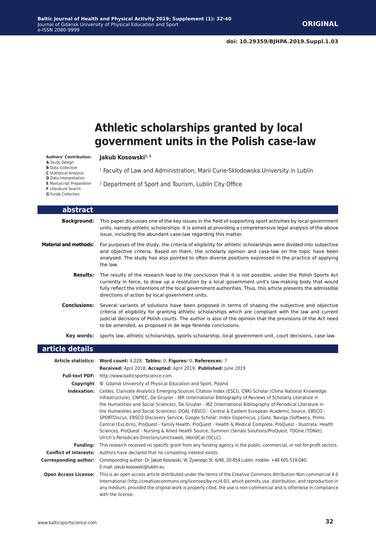# **Athletic scholarships granted by local government units in the Polish case-law**

<sup>1</sup> Faculty of Law and Administration, Marii Curie-Skłodowska University in Lublin

#### Jakub Kosowski<sup>1, 2</sup>

**Authors' Contribution:**

- **A** Study Design
- **B** Data Collection
- **C** Statistical Analysis
- **D** Data Interpretation
- **E** Manuscript Preparation
- **F** Literature Search **G** Funds Collection
- 

<sup>2</sup> Department of Sport and Tourism, Lublin City Office

| abstract                     |                                                                                                                                                                                                                                                                                                                                                                                          |
|------------------------------|------------------------------------------------------------------------------------------------------------------------------------------------------------------------------------------------------------------------------------------------------------------------------------------------------------------------------------------------------------------------------------------|
| <b>Background:</b>           | This paper discusses one of the key issues in the field of supporting sport activities by local government<br>units, namely athletic scholarships. It is aimed at providing a comprehensive legal analysis of the above<br>issue, including the abundant case-law regarding this matter.                                                                                                 |
| <b>Material and methods:</b> | For purposes of the study, the criteria of eligibility for athletic scholarships were divided into subjective<br>and objective criteria. Based on them, the scholarly opinion and case-law on the topic have been<br>analysed. The study has also pointed to often diverse positions expressed in the practice of applying<br>the law.                                                   |
| Results:                     | The results of the research lead to the conclusion that it is not possible, under the Polish Sports Act<br>currently in force, to draw up a resolution by a local government unit's law-making body that would<br>fully reflect the intentions of the local government authorities. Thus, this article presents the admissible<br>directions of action by local government units.        |
| <b>Conclusions:</b>          | Several variants of solutions have been proposed in terms of shaping the subjective and objective<br>criteria of eligibility for granting athletic scholarships which are compliant with the law and current<br>judicial decisions of Polish courts. The author is also of the opinion that the provisions of the Act need<br>to be amended, as proposed in de lege ferenda conclusions. |
| Key words:                   | sports law, athletic scholarships, sports scholarship, local government unit, court decisions, case law.                                                                                                                                                                                                                                                                                 |

#### **article details**

|                               | Article statistics: Word count: 4,028; Tables: 0; Figures: 0; References: 7                                                                                                                                                                                                                                                                                                                                                                                                                                                                                                                                                                                                                                                                                                                                                                                   |
|-------------------------------|---------------------------------------------------------------------------------------------------------------------------------------------------------------------------------------------------------------------------------------------------------------------------------------------------------------------------------------------------------------------------------------------------------------------------------------------------------------------------------------------------------------------------------------------------------------------------------------------------------------------------------------------------------------------------------------------------------------------------------------------------------------------------------------------------------------------------------------------------------------|
|                               | Received: April 2018; Accepted: April 2019; Published: June 2019                                                                                                                                                                                                                                                                                                                                                                                                                                                                                                                                                                                                                                                                                                                                                                                              |
| <b>Full-text PDF:</b>         | http://www.balticsportscience.com                                                                                                                                                                                                                                                                                                                                                                                                                                                                                                                                                                                                                                                                                                                                                                                                                             |
| Copyright                     | © Gdansk University of Physical Education and Sport, Poland                                                                                                                                                                                                                                                                                                                                                                                                                                                                                                                                                                                                                                                                                                                                                                                                   |
| Indexation:                   | Celdes, Clarivate Analytics Emerging Sources Citation Index (ESCI), CNKI Scholar (China National Knowledge<br>Infrastructure), CNPIEC, De Gruyter - IBR (International Bibliography of Reviews of Scholarly Literature in<br>the Humanities and Social Sciences), De Gruyter - IBZ (International Bibliography of Periodical Literature in<br>the Humanities and Social Sciences), DOAJ, EBSCO - Central & Eastern European Academic Source, EBSCO -<br>SPORTDiscus, EBSCO Discovery Service, Google Scholar, Index Copernicus, J-Gate, Naviga (Softweco, Primo<br>Central (ExLibris), ProQuest - Family Health, ProQuest - Health & Medical Complete, ProQuest - Illustrata: Health<br>Sciences, ProQuest - Nursing & Allied Health Source, Summon (Serials Solutions/ProQuest, TDOne (TDNet),<br>Ulrich's Periodicals Directory/ulrichsweb, WorldCat (OCLC) |
| <b>Fundina:</b>               | This research received no specific grant from any funding agency in the public, commercial, or not-for-profit sectors.                                                                                                                                                                                                                                                                                                                                                                                                                                                                                                                                                                                                                                                                                                                                        |
| <b>Conflict of interests:</b> | Authors have declared that no competing interest exists.                                                                                                                                                                                                                                                                                                                                                                                                                                                                                                                                                                                                                                                                                                                                                                                                      |
| <b>Corresponding author:</b>  | Corresponding author: Dr. Jakub Kosowski, W. Żywnego St. 6/48, 20-854 Lublin, mobile: +48 605-519-040;<br>E-mail: jakub.kosowski@lublin.eu                                                                                                                                                                                                                                                                                                                                                                                                                                                                                                                                                                                                                                                                                                                    |
| <b>Open Access License:</b>   | This is an open access article distributed under the terms of the Creative Commons Attribution-Non-commercial 4.0<br>International (http://creativecommons.org/licenses/by-nc/4.0/), which permits use, distribution, and reproduction in<br>any medium, provided the original work is properly cited, the use is non-commercial and is otherwise in compliance<br>with the license.                                                                                                                                                                                                                                                                                                                                                                                                                                                                          |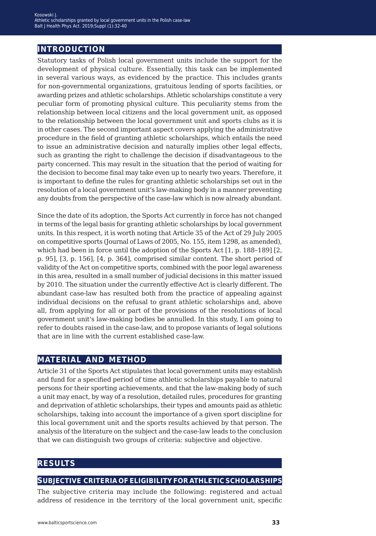## **introduction**

Statutory tasks of Polish local government units include the support for the development of physical culture. Essentially, this task can be implemented in several various ways, as evidenced by the practice. This includes grants for non-governmental organizations, gratuitous lending of sports facilities, or awarding prizes and athletic scholarships. Athletic scholarships constitute a very peculiar form of promoting physical culture. This peculiarity stems from the relationship between local citizens and the local government unit, as opposed to the relationship between the local government unit and sports clubs as it is in other cases. The second important aspect covers applying the administrative procedure in the field of granting athletic scholarships, which entails the need to issue an administrative decision and naturally implies other legal effects, such as granting the right to challenge the decision if disadvantageous to the party concerned. This may result in the situation that the period of waiting for the decision to become final may take even up to nearly two years. Therefore, it is important to define the rules for granting athletic scholarships set out in the resolution of a local government unit's law-making body in a manner preventing any doubts from the perspective of the case-law which is now already abundant.

Since the date of its adoption, the Sports Act currently in force has not changed in terms of the legal basis for granting athletic scholarships by local government units. In this respect, it is worth noting that Article 35 of the Act of 29 July 2005 on competitive sports (Journal of Laws of 2005, No. 155, item 1298, as amended), which had been in force until the adoption of the Sports Act [1, p. 188–189] [2, p. 95], [3, p. 156], [4, p. 364], comprised similar content. The short period of validity of the Act on competitive sports, combined with the poor legal awareness in this area, resulted in a small number of judicial decisions in this matter issued by 2010. The situation under the currently effective Act is clearly different. The abundant case-law has resulted both from the practice of appealing against individual decisions on the refusal to grant athletic scholarships and, above all, from applying for all or part of the provisions of the resolutions of local government unit's law-making bodies be annulled. In this study, I am going to refer to doubts raised in the case-law, and to propose variants of legal solutions that are in line with the current established case-law.

### **material and method**

Article 31 of the Sports Act stipulates that local government units may establish and fund for a specified period of time athletic scholarships payable to natural persons for their sporting achievements, and that the law-making body of such a unit may enact, by way of a resolution, detailed rules, procedures for granting and deprivation of athletic scholarships, their types and amounts paid as athletic scholarships, taking into account the importance of a given sport discipline for this local government unit and the sports results achieved by that person. The analysis of the literature on the subject and the case-law leads to the conclusion that we can distinguish two groups of criteria: subjective and objective.

### **results**

#### **subjective criteria of eligibility for athletic scholarships**

The subjective criteria may include the following: registered and actual address of residence in the territory of the local government unit, specific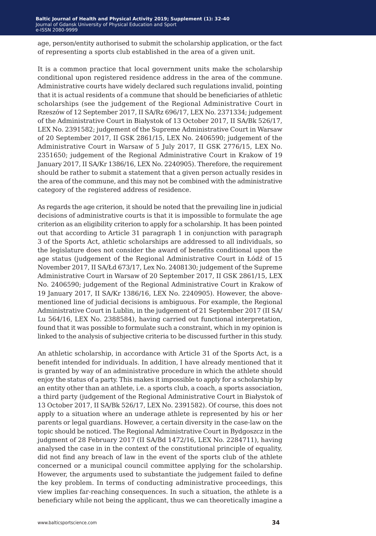age, person/entity authorised to submit the scholarship application, or the fact of representing a sports club established in the area of a given unit.

It is a common practice that local government units make the scholarship conditional upon registered residence address in the area of the commune. Administrative courts have widely declared such regulations invalid, pointing that it is actual residents of a commune that should be beneficiaries of athletic scholarships (see the judgement of the Regional Administrative Court in Rzeszów of 12 September 2017, II SA/Rz 696/17, LEX No. 2371334; judgement of the Administrative Court in Białystok of 13 October 2017, II SA/Bk 526/17, LEX No. 2391582; judgement of the Supreme Administrative Court in Warsaw of 20 September 2017, II GSK 2861/15, LEX No. 2406590; judgement of the Administrative Court in Warsaw of 5 July 2017, II GSK 2776/15, LEX No. 2351650; judgement of the Regional Administrative Court in Krakow of 19 January 2017, II SA/Kr 1386/16, LEX No. 2240905). Therefore, the requirement should be rather to submit a statement that a given person actually resides in the area of the commune, and this may not be combined with the administrative category of the registered address of residence.

As regards the age criterion, it should be noted that the prevailing line in judicial decisions of administrative courts is that it is impossible to formulate the age criterion as an eligibility criterion to apply for a scholarship. It has been pointed out that according to Article 31 paragraph 1 in conjunction with paragraph 3 of the Sports Act, athletic scholarships are addressed to all individuals, so the legislature does not consider the award of benefits conditional upon the age status (judgement of the Regional Administrative Court in Łódź of 15 November 2017, II SA/Łd 673/17, Lex No. 2408130; judgement of the Supreme Administrative Court in Warsaw of 20 September 2017, II GSK 2861/15, LEX No. 2406590; judgement of the Regional Administrative Court in Krakow of 19 January 2017, II SA/Kr 1386/16, LEX No. 2240905). However, the abovementioned line of judicial decisions is ambiguous. For example, the Regional Administrative Court in Lublin, in the judgement of 21 September 2017 (II SA/ Lu 564/16, LEX No. 2388584), having carried out functional interpretation, found that it was possible to formulate such a constraint, which in my opinion is linked to the analysis of subjective criteria to be discussed further in this study.

An athletic scholarship, in accordance with Article 31 of the Sports Act, is a benefit intended for individuals. In addition, I have already mentioned that it is granted by way of an administrative procedure in which the athlete should enjoy the status of a party. This makes it impossible to apply for a scholarship by an entity other than an athlete, i.e. a sports club, a coach, a sports association, a third party (judgement of the Regional Administrative Court in Białystok of 13 October 2017, II SA/Bk 526/17, LEX No. 2391582). Of course, this does not apply to a situation where an underage athlete is represented by his or her parents or legal guardians. However, a certain diversity in the case-law on the topic should be noticed. The Regional Administrative Court in Bydgoszcz in the judgment of 28 February 2017 (II SA/Bd 1472/16, LEX No. 2284711), having analysed the case in in the context of the constitutional principle of equality, did not find any breach of law in the event of the sports club of the athlete concerned or a municipal council committee applying for the scholarship. However, the arguments used to substantiate the judgement failed to define the key problem. In terms of conducting administrative proceedings, this view implies far-reaching consequences. In such a situation, the athlete is a beneficiary while not being the applicant, thus we can theoretically imagine a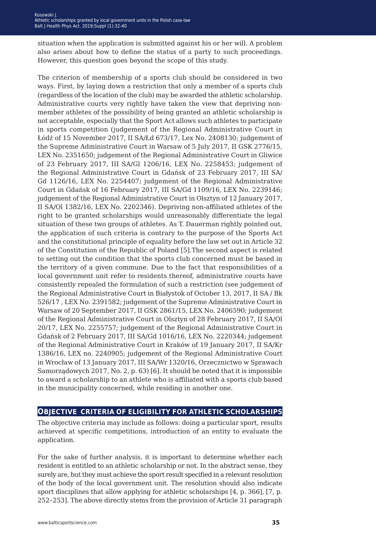situation when the application is submitted against his or her will. A problem also arises about how to define the status of a party to such proceedings. However, this question goes beyond the scope of this study.

The criterion of membership of a sports club should be considered in two ways. First, by laying down a restriction that only a member of a sports club (regardless of the location of the club) may be awarded the athletic scholarship. Administrative courts very rightly have taken the view that depriving nonmember athletes of the possibility of being granted an athletic scholarship is not acceptable, especially that the Sport Act allows such athletes to participate in sports competition (judgement of the Regional Administrative Court in Łódź of 15 November 2017, II SA/Łd 673/17, Lex No. 2408130; judgement of the Supreme Administrative Court in Warsaw of 5 July 2017, II GSK 2776/15, LEX No. 2351650; judgement of the Regional Administrative Court in Gliwice of 23 February 2017, III SA/Gl 1206/16, LEX No. 2258453; judgement of the Regional Administrative Court in Gdańsk of 23 February 2017, III SA/ Gd 1126/16, LEX No. 2254407; judgement of the Regional Administrative Court in Gdańsk of 16 February 2017, III SA/Gd 1109/16, LEX No. 2239146; judgement of the Regional Administrative Court in Olsztyn of 12 January 2017, II SA/Ol 1382/16, LEX No. 2202346). Depriving non-affiliated athletes of the right to be granted scholarships would unreasonably differentiate the legal situation of these two groups of athletes. As T. Dauerman rightly pointed out, the application of such criteria is contrary to the purpose of the Sports Act and the constitutional principle of equality before the law set out in Article 32 of the Constitution of the Republic of Poland [5].The second aspect is related to setting out the condition that the sports club concerned must be based in the territory of a given commune. Due to the fact that responsibilities of a local government unit refer to residents thereof, administrative courts have consistently repealed the formulation of such a restriction (see judgement of the Regional Administrative Court in Białystok of October 13, 2017, II SA / Bk 526/17 , LEX No. 2391582; judgement of the Supreme Administrative Court in Warsaw of 20 September 2017, II GSK 2861/15, LEX No. 2406590; judgement of the Regional Administrative Court in Olsztyn of 28 February 2017, II SA/Ol 20/17, LEX No. 2255757; judgement of the Regional Administrative Court in Gdańsk of 2 February 2017, III SA/Gd 1016/16, LEX No. 2220344; judgement of the Regional Administrative Court in Kraków of 19 January 2017, II SA/Kr 1386/16, LEX no. 2240905; judgement of the Regional Administrative Court in Wrocław of 13 January 2017, III SA/Wr 1320/16, Orzecznictwo w Sprawach Samorządowych 2017, No. 2, p. 63) [6]. It should be noted that it is impossible to award a scholarship to an athlete who is affiliated with a sports club based in the municipality concerned, while residing in another one.

#### **objective criteria of eligibility for athletic scholarships**

The objective criteria may include as follows: doing a particular sport, results achieved at specific competitions, introduction of an entity to evaluate the application.

For the sake of further analysis, it is important to determine whether each resident is entitled to an athletic scholarship or not. In the abstract sense, they surely are, but they must achieve the sport result specified in a relevant resolution of the body of the local government unit. The resolution should also indicate sport disciplines that allow applying for athletic scholarships [4, p. 366], [7, p. 252–253]. The above directly stems from the provision of Article 31 paragraph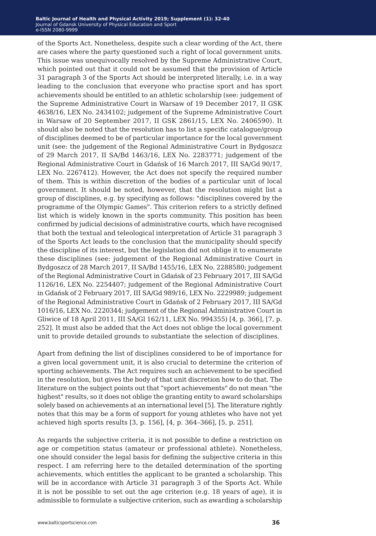#### **Baltic Journal of Health and Physical Activity 2014; 1(1): 1-4 Baltic Journal of Health and Physical Activity 2019; Supplement (1): 32-40** Journal of Gdansk University of Physical Education and Sport Journal of Gdansk University of Physical Education and Sport e-ISSN 2080-9999 e-ISSN 2080-9999

of the Sports Act. Nonetheless, despite such a clear wording of the Act, there are cases where the party questioned such a right of local government units. This issue was unequivocally resolved by the Supreme Administrative Court, which pointed out that it could not be assumed that the provision of Article 31 paragraph 3 of the Sports Act should be interpreted literally, i.e. in a way leading to the conclusion that everyone who practise sport and has sport achievements should be entitled to an athletic scholarship (see: judgement of the Supreme Administrative Court in Warsaw of 19 December 2017, II GSK 4638/16, LEX No. 2434102; judgement of the Supreme Administrative Court in Warsaw of 20 September 2017, II GSK 2861/15, LEX No. 2406590). It should also be noted that the resolution has to list a specific catalogue/group of disciplines deemed to be of particular importance for the local government unit (see: the judgement of the Regional Administrative Court in Bydgoszcz of 29 March 2017, II SA/Bd 1463/16, LEX No. 2283771; judgement of the Regional Administrative Court in Gdańsk of 16 March 2017, III SA/Gd 90/17, LEX No. 2267412). However, the Act does not specify the required number of them. This is within discretion of the bodies of a particular unit of local government. It should be noted, however, that the resolution might list a group of disciplines, e.g. by specifying as follows: "disciplines covered by the programme of the Olympic Games". This criterion refers to a strictly defined list which is widely known in the sports community. This position has been confirmed by judicial decisions of administrative courts, which have recognised that both the textual and teleological interpretation of Article 31 paragraph 3 of the Sports Act leads to the conclusion that the municipality should specify the discipline of its interest, but the legislation did not oblige it to enumerate these disciplines (see: judgement of the Regional Administrative Court in Bydgoszcz of 28 March 2017, II SA/Bd 1455/16, LEX No. 2288580; judgement of the Regional Administrative Court in Gdańsk of 23 February 2017, III SA/Gd 1126/16, LEX No. 2254407; judgement of the Regional Administrative Court in Gdańsk of 2 February 2017, III SA/Gd 989/16, LEX No. 2229989; judgement of the Regional Administrative Court in Gdańsk of 2 February 2017, III SA/Gd 1016/16, LEX No. 2220344; judgement of the Regional Administrative Court in Gliwice of 18 April 2011, III SA/Gl 162/11, LEX No. 994355) [4, p. 366], [7, p. 252]. It must also be added that the Act does not oblige the local government unit to provide detailed grounds to substantiate the selection of disciplines.

Apart from defining the list of disciplines considered to be of importance for a given local government unit, it is also crucial to determine the criterion of sporting achievements. The Act requires such an achievement to be specified in the resolution, but gives the body of that unit discretion how to do that. The literature on the subject points out that "sport achievements" do not mean "the highest" results, so it does not oblige the granting entity to award scholarships solely based on achievements at an international level [5]. The literature rightly notes that this may be a form of support for young athletes who have not yet achieved high sports results [3, p. 156], [4, p. 364–366], [5, p. 251].

As regards the subjective criteria, it is not possible to define a restriction on age or competition status (amateur or professional athlete). Nonetheless, one should consider the legal basis for defining the subjective criteria in this respect. I am referring here to the detailed determination of the sporting achievements, which entitles the applicant to be granted a scholarship. This will be in accordance with Article 31 paragraph 3 of the Sports Act. While it is not be possible to set out the age criterion (e.g. 18 years of age), it is admissible to formulate a subjective criterion, such as awarding a scholarship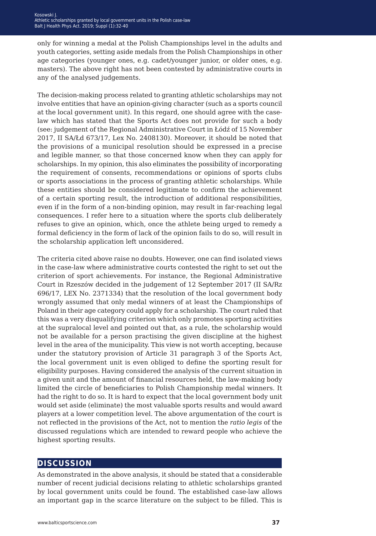only for winning a medal at the Polish Championships level in the adults and youth categories, setting aside medals from the Polish Championships in other age categories (younger ones, e.g. cadet/younger junior, or older ones, e.g. masters). The above right has not been contested by administrative courts in any of the analysed judgements.

The decision-making process related to granting athletic scholarships may not involve entities that have an opinion-giving character (such as a sports council at the local government unit). In this regard, one should agree with the caselaw which has stated that the Sports Act does not provide for such a body (see: judgement of the Regional Administrative Court in Łódź of 15 November 2017, II SA/Łd 673/17, Lex No. 2408130). Moreover, it should be noted that the provisions of a municipal resolution should be expressed in a precise and legible manner, so that those concerned know when they can apply for scholarships. In my opinion, this also eliminates the possibility of incorporating the requirement of consents, recommendations or opinions of sports clubs or sports associations in the process of granting athletic scholarships. While these entities should be considered legitimate to confirm the achievement of a certain sporting result, the introduction of additional responsibilities, even if in the form of a non-binding opinion, may result in far-reaching legal consequences. I refer here to a situation where the sports club deliberately refuses to give an opinion, which, once the athlete being urged to remedy a formal deficiency in the form of lack of the opinion fails to do so, will result in the scholarship application left unconsidered.

The criteria cited above raise no doubts. However, one can find isolated views in the case-law where administrative courts contested the right to set out the criterion of sport achievements. For instance, the Regional Administrative Court in Rzeszów decided in the judgement of 12 September 2017 (II SA/Rz 696/17, LEX No. 2371334) that the resolution of the local government body wrongly assumed that only medal winners of at least the Championships of Poland in their age category could apply for a scholarship. The court ruled that this was a very disqualifying criterion which only promotes sporting activities at the supralocal level and pointed out that, as a rule, the scholarship would not be available for a person practising the given discipline at the highest level in the area of the municipality. This view is not worth accepting, because under the statutory provision of Article 31 paragraph 3 of the Sports Act, the local government unit is even obliged to define the sporting result for eligibility purposes. Having considered the analysis of the current situation in a given unit and the amount of financial resources held, the law-making body limited the circle of beneficiaries to Polish Championship medal winners. It had the right to do so. It is hard to expect that the local government body unit would set aside (eliminate) the most valuable sports results and would award players at a lower competition level. The above argumentation of the court is not reflected in the provisions of the Act, not to mention the *ratio legis* of the discussed regulations which are intended to reward people who achieve the highest sporting results.

#### **discussion**

As demonstrated in the above analysis, it should be stated that a considerable number of recent judicial decisions relating to athletic scholarships granted by local government units could be found. The established case-law allows an important gap in the scarce literature on the subject to be filled. This is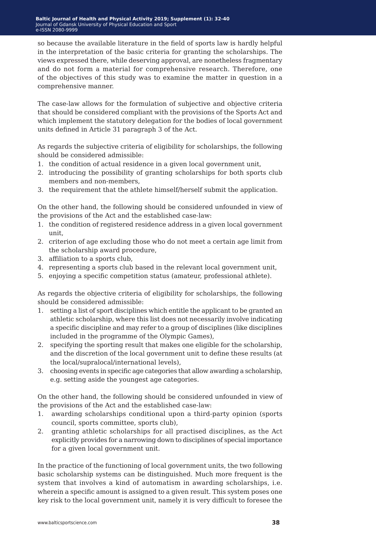so because the available literature in the field of sports law is hardly helpful in the interpretation of the basic criteria for granting the scholarships. The views expressed there, while deserving approval, are nonetheless fragmentary and do not form a material for comprehensive research. Therefore, one of the objectives of this study was to examine the matter in question in a comprehensive manner.

The case-law allows for the formulation of subjective and objective criteria that should be considered compliant with the provisions of the Sports Act and which implement the statutory delegation for the bodies of local government units defined in Article 31 paragraph 3 of the Act.

As regards the subjective criteria of eligibility for scholarships, the following should be considered admissible:

- 1. the condition of actual residence in a given local government unit,
- 2. introducing the possibility of granting scholarships for both sports club members and non-members,
- 3. the requirement that the athlete himself/herself submit the application.

On the other hand, the following should be considered unfounded in view of the provisions of the Act and the established case-law:

- 1. the condition of registered residence address in a given local government unit,
- 2. criterion of age excluding those who do not meet a certain age limit from the scholarship award procedure,
- 3. affiliation to a sports club,
- 4. representing a sports club based in the relevant local government unit,
- 5. enjoying a specific competition status (amateur, professional athlete).

As regards the objective criteria of eligibility for scholarships, the following should be considered admissible:

- 1. setting a list of sport disciplines which entitle the applicant to be granted an athletic scholarship, where this list does not necessarily involve indicating a specific discipline and may refer to a group of disciplines (like disciplines included in the programme of the Olympic Games),
- 2. specifying the sporting result that makes one eligible for the scholarship, and the discretion of the local government unit to define these results (at the local/supralocal/international levels),
- 3. choosing events in specific age categories that allow awarding a scholarship, e.g. setting aside the youngest age categories.

On the other hand, the following should be considered unfounded in view of the provisions of the Act and the established case-law:

- 1. awarding scholarships conditional upon a third-party opinion (sports council, sports committee, sports club),
- 2. granting athletic scholarships for all practised disciplines, as the Act explicitly provides for a narrowing down to disciplines of special importance for a given local government unit.

In the practice of the functioning of local government units, the two following basic scholarship systems can be distinguished. Much more frequent is the system that involves a kind of automatism in awarding scholarships, i.e. wherein a specific amount is assigned to a given result. This system poses one key risk to the local government unit, namely it is very difficult to foresee the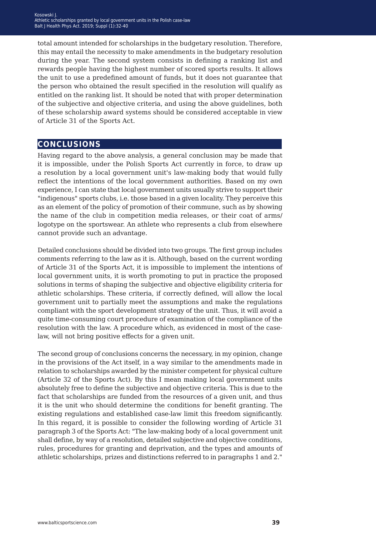total amount intended for scholarships in the budgetary resolution. Therefore, this may entail the necessity to make amendments in the budgetary resolution during the year. The second system consists in defining a ranking list and rewards people having the highest number of scored sports results. It allows the unit to use a predefined amount of funds, but it does not guarantee that the person who obtained the result specified in the resolution will qualify as entitled on the ranking list. It should be noted that with proper determination of the subjective and objective criteria, and using the above guidelines, both of these scholarship award systems should be considered acceptable in view of Article 31 of the Sports Act.

## **conclusions**

Having regard to the above analysis, a general conclusion may be made that it is impossible, under the Polish Sports Act currently in force, to draw up a resolution by a local government unit's law-making body that would fully reflect the intentions of the local government authorities. Based on my own experience, I can state that local government units usually strive to support their "indigenous" sports clubs, i.e. those based in a given locality. They perceive this as an element of the policy of promotion of their commune, such as by showing the name of the club in competition media releases, or their coat of arms/ logotype on the sportswear. An athlete who represents a club from elsewhere cannot provide such an advantage.

Detailed conclusions should be divided into two groups. The first group includes comments referring to the law as it is. Although, based on the current wording of Article 31 of the Sports Act, it is impossible to implement the intentions of local government units, it is worth promoting to put in practice the proposed solutions in terms of shaping the subjective and objective eligibility criteria for athletic scholarships. These criteria, if correctly defined, will allow the local government unit to partially meet the assumptions and make the regulations compliant with the sport development strategy of the unit. Thus, it will avoid a quite time-consuming court procedure of examination of the compliance of the resolution with the law. A procedure which, as evidenced in most of the caselaw, will not bring positive effects for a given unit.

The second group of conclusions concerns the necessary, in my opinion, change in the provisions of the Act itself, in a way similar to the amendments made in relation to scholarships awarded by the minister competent for physical culture (Article 32 of the Sports Act). By this I mean making local government units absolutely free to define the subjective and objective criteria. This is due to the fact that scholarships are funded from the resources of a given unit, and thus it is the unit who should determine the conditions for benefit granting. The existing regulations and established case-law limit this freedom significantly. In this regard, it is possible to consider the following wording of Article 31 paragraph 3 of the Sports Act: "The law-making body of a local government unit shall define, by way of a resolution, detailed subjective and objective conditions, rules, procedures for granting and deprivation, and the types and amounts of athletic scholarships, prizes and distinctions referred to in paragraphs 1 and 2."